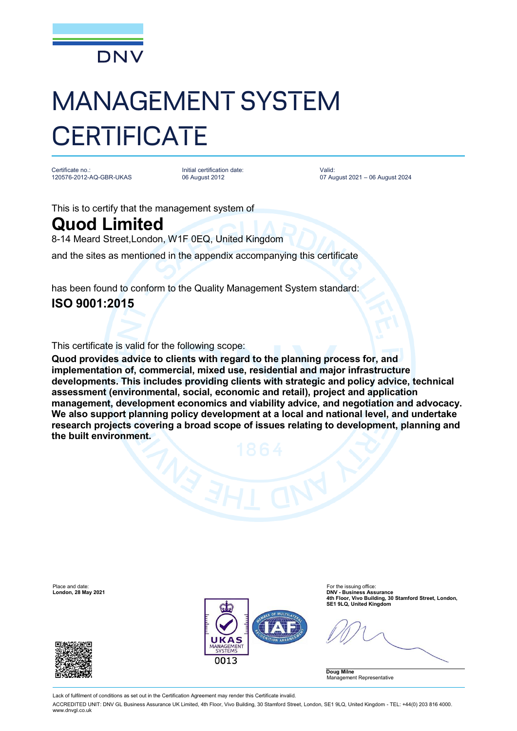

# MANAGEMENT SYSTEM **CERTIFICATE**

Certificate no.: 120576-2012-AQ-GBR-UKAS

Initial certification date: 06 August 2012

Valid: 07 August 2021 – 06 August 2024

This is to certify that the management system of

## **Quod Limited**

8-14 Meard Street,London, W1F 0EQ, United Kingdom

and the sites as mentioned in the appendix accompanying this certificate

has been found to conform to the Quality Management System standard:

### **ISO 9001:2015**

This certificate is valid for the following scope:

**Quod provides advice to clients with regard to the planning process for, and implementation of, commercial, mixed use, residential and major infrastructure developments. This includes providing clients with strategic and policy advice, technical assessment (environmental, social, economic and retail), project and application management, development economics and viability advice, and negotiation and advocacy. We also support planning policy development at a local and national level, and undertake research projects covering a broad scope of issues relating to development, planning and the built environment.**

Place and date: For the issuing office<br> **Place and date:** For the issuing office<br> **Place and date:** For the issuing office:  $\mathbf{S}$ **London, 28 May 2021 DNV - Business Assurance 4th Floor, Vivo Building, 30 Stamford Street, London, SE1 9LQ, United Kingdom** กก13 **Doug Milne**

Lack of fulfilment of conditions as set out in the Certification Agreement may render this Certificate invalid.

ACCREDITED UNIT: DNV GL Business Assurance UK Limited, 4th Floor, Vivo Building, 30 Stamford Street, London, SE1 9LQ, United Kingdom - TEL: +44(0) 203 816 4000. [www.dnvgl.co.uk](http://www.dnvgl.co.uk)



Management Representative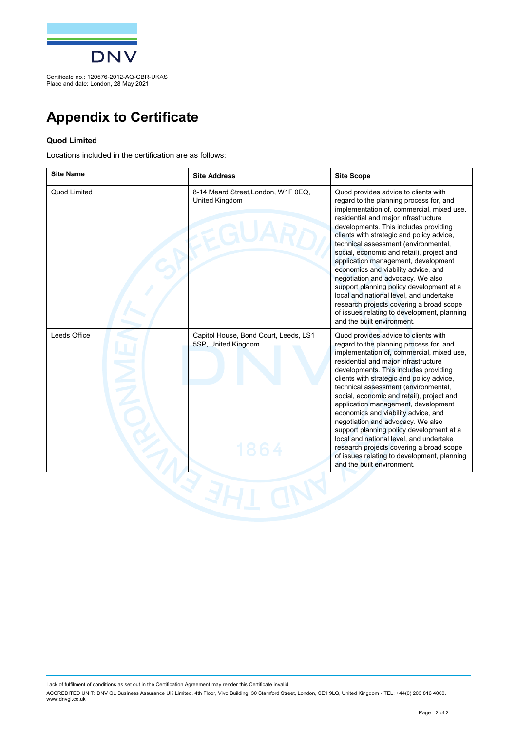

Certificate no.: 120576-2012-AQ-GBR-UKAS Place and date: London, 28 May 2021

## **Appendix to Certificate**

#### **Quod Limited**

Locations included in the certification are as follows:

| <b>Site Name</b> | <b>Site Address</b>                                          | <b>Site Scope</b>                                                                                                                                                                                                                                                                                                                                                                                                                                                                                                                                                                                                                                                                  |
|------------------|--------------------------------------------------------------|------------------------------------------------------------------------------------------------------------------------------------------------------------------------------------------------------------------------------------------------------------------------------------------------------------------------------------------------------------------------------------------------------------------------------------------------------------------------------------------------------------------------------------------------------------------------------------------------------------------------------------------------------------------------------------|
| Quod Limited     | 8-14 Meard Street, London, W1F 0EQ,<br>United Kingdom        | Quod provides advice to clients with<br>regard to the planning process for, and<br>implementation of, commercial, mixed use,<br>residential and major infrastructure<br>developments. This includes providing<br>clients with strategic and policy advice,<br>technical assessment (environmental,<br>social, economic and retail), project and<br>application management, development<br>economics and viability advice, and<br>negotiation and advocacy. We also<br>support planning policy development at a<br>local and national level, and undertake<br>research projects covering a broad scope<br>of issues relating to development, planning<br>and the built environment. |
| Leeds Office     | Capitol House, Bond Court, Leeds, LS1<br>5SP, United Kingdom | Quod provides advice to clients with<br>regard to the planning process for, and<br>implementation of, commercial, mixed use,<br>residential and major infrastructure<br>developments. This includes providing<br>clients with strategic and policy advice,<br>technical assessment (environmental,<br>social, economic and retail), project and<br>application management, development<br>economics and viability advice, and<br>negotiation and advocacy. We also<br>support planning policy development at a<br>local and national level, and undertake<br>research projects covering a broad scope<br>of issues relating to development, planning<br>and the built environment. |

Lack of fulfilment of conditions as set out in the Certification Agreement may render this Certificate invalid.

ACCREDITED UNIT: DNV GL Business Assurance UK Limited, 4th Floor, Vivo Building, 30 Stamford Street, London, SE1 9LQ, United Kingdom - TEL: +44(0) 203 816 4000.<br>[www.dnvgl.co.uk](http://www.dnvgl.co.uk)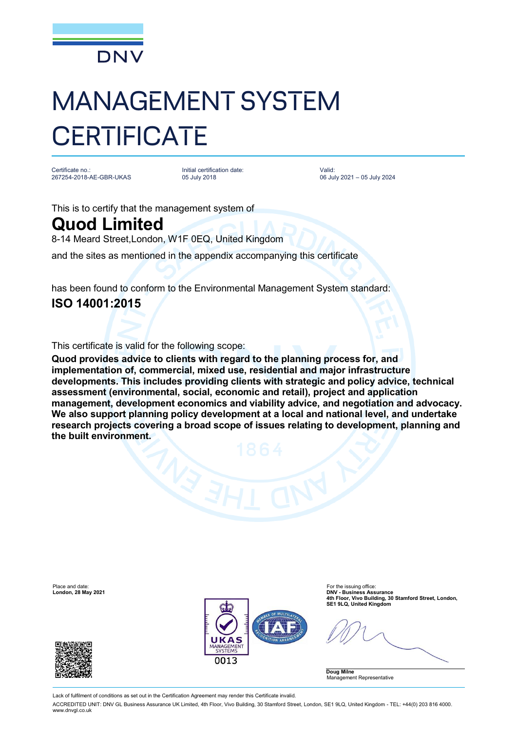

# MANAGEMENT SYSTEM **CERTIFICATE**

Certificate no.: 267254-2018-AE-GBR-UKAS

Initial certification date: 05 July 2018

Valid: 06 July 2021 – 05 July 2024

This is to certify that the management system of

## **Quod Limited**

8-14 Meard Street,London, W1F 0EQ, United Kingdom

and the sites as mentioned in the appendix accompanying this certificate

has been found to conform to the Environmental Management System standard:

### **ISO 14001:2015**

This certificate is valid for the following scope:

**Quod provides advice to clients with regard to the planning process for, and implementation of, commercial, mixed use, residential and major infrastructure developments. This includes providing clients with strategic and policy advice, technical assessment (environmental, social, economic and retail), project and application management, development economics and viability advice, and negotiation and advocacy. We also support planning policy development at a local and national level, and undertake research projects covering a broad scope of issues relating to development, planning and the built environment.**

Place and date: For the issuing office<br> **Place and date:** For the issuing office<br> **Place and date:** For the issuing office:  $\mathbf{S}$ **London, 28 May 2021 DNV - Business Assurance 4th Floor, Vivo Building, 30 Stamford Street, London, SE1 9LQ, United Kingdom** กก13 **Doug Milne** Management Representative

Lack of fulfilment of conditions as set out in the Certification Agreement may render this Certificate invalid.

ACCREDITED UNIT: DNV GL Business Assurance UK Limited, 4th Floor, Vivo Building, 30 Stamford Street, London, SE1 9LQ, United Kingdom - TEL: +44(0) 203 816 4000. [www.dnvgl.co.uk](http://www.dnvgl.co.uk)